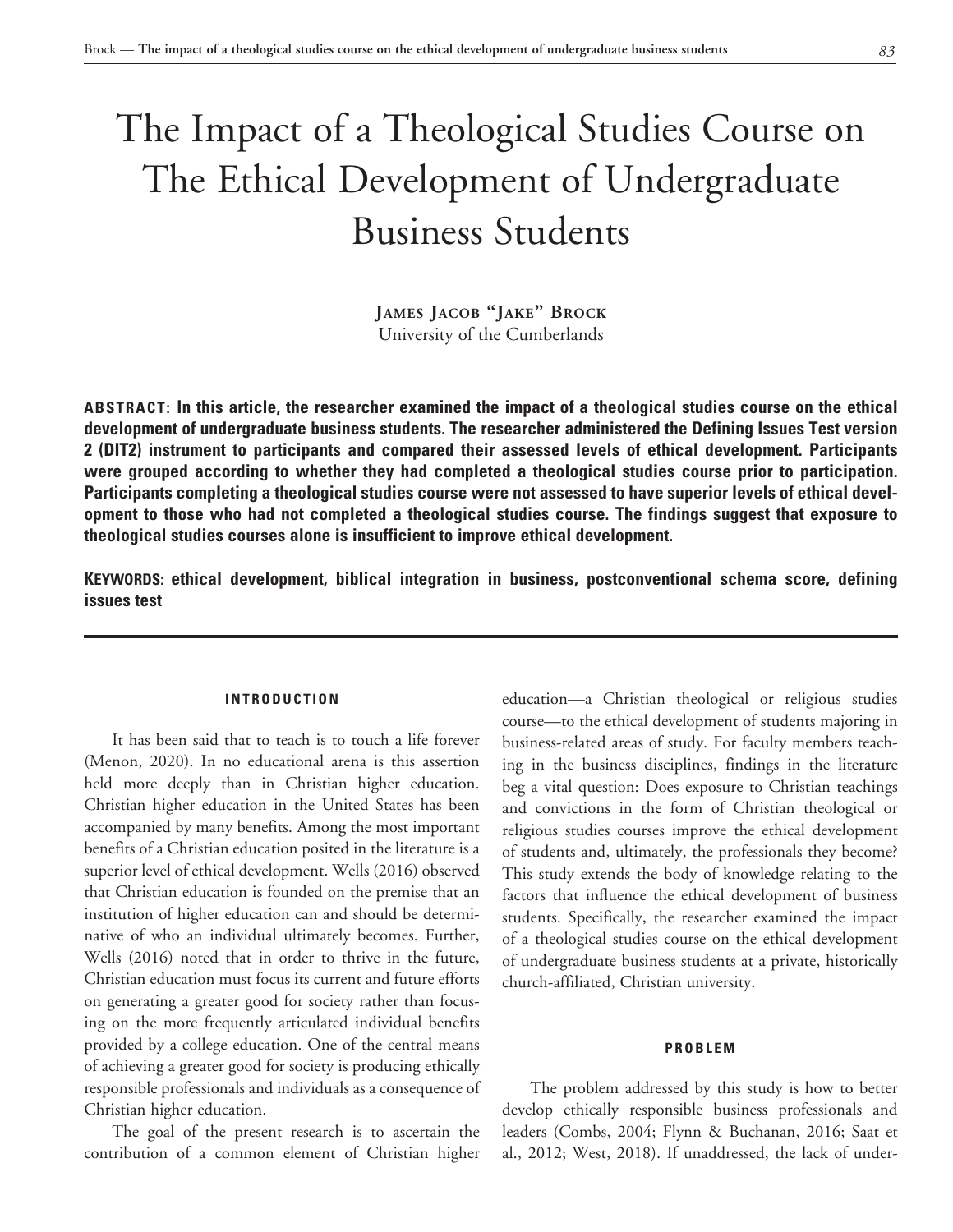# The Impact of a Theological Studies Course on The Ethical Development of Undergraduate Business Students

**James Jacob "Jake" Brock** University of the Cumberlands

**ABSTRACT: In this article, the researcher examined the impact of a theological studies course on the ethical development of undergraduate business students. The researcher administered the Defining Issues Test version 2 (DIT2) instrument to participants and compared their assessed levels of ethical development. Participants were grouped according to whether they had completed a theological studies course prior to participation. Participants completing a theological studies course were not assessed to have superior levels of ethical development to those who had not completed a theological studies course. The findings suggest that exposure to theological studies courses alone is insufficient to improve ethical development.**

**KEYWORDS: ethical development, biblical integration in business, postconventional schema score, defining issues test**

#### **INTRODUCTION**

It has been said that to teach is to touch a life forever (Menon, 2020). In no educational arena is this assertion held more deeply than in Christian higher education. Christian higher education in the United States has been accompanied by many benefits. Among the most important benefits of a Christian education posited in the literature is a superior level of ethical development. Wells (2016) observed that Christian education is founded on the premise that an institution of higher education can and should be determinative of who an individual ultimately becomes. Further, Wells (2016) noted that in order to thrive in the future, Christian education must focus its current and future efforts on generating a greater good for society rather than focusing on the more frequently articulated individual benefits provided by a college education. One of the central means of achieving a greater good for society is producing ethically responsible professionals and individuals as a consequence of Christian higher education.

The goal of the present research is to ascertain the contribution of a common element of Christian higher education—a Christian theological or religious studies course—to the ethical development of students majoring in business-related areas of study. For faculty members teaching in the business disciplines, findings in the literature beg a vital question: Does exposure to Christian teachings and convictions in the form of Christian theological or religious studies courses improve the ethical development of students and, ultimately, the professionals they become? This study extends the body of knowledge relating to the factors that influence the ethical development of business students. Specifically, the researcher examined the impact of a theological studies course on the ethical development of undergraduate business students at a private, historically church-affiliated, Christian university.

#### **PROBLEM**

The problem addressed by this study is how to better develop ethically responsible business professionals and leaders (Combs, 2004; Flynn & Buchanan, 2016; Saat et al., 2012; West, 2018). If unaddressed, the lack of under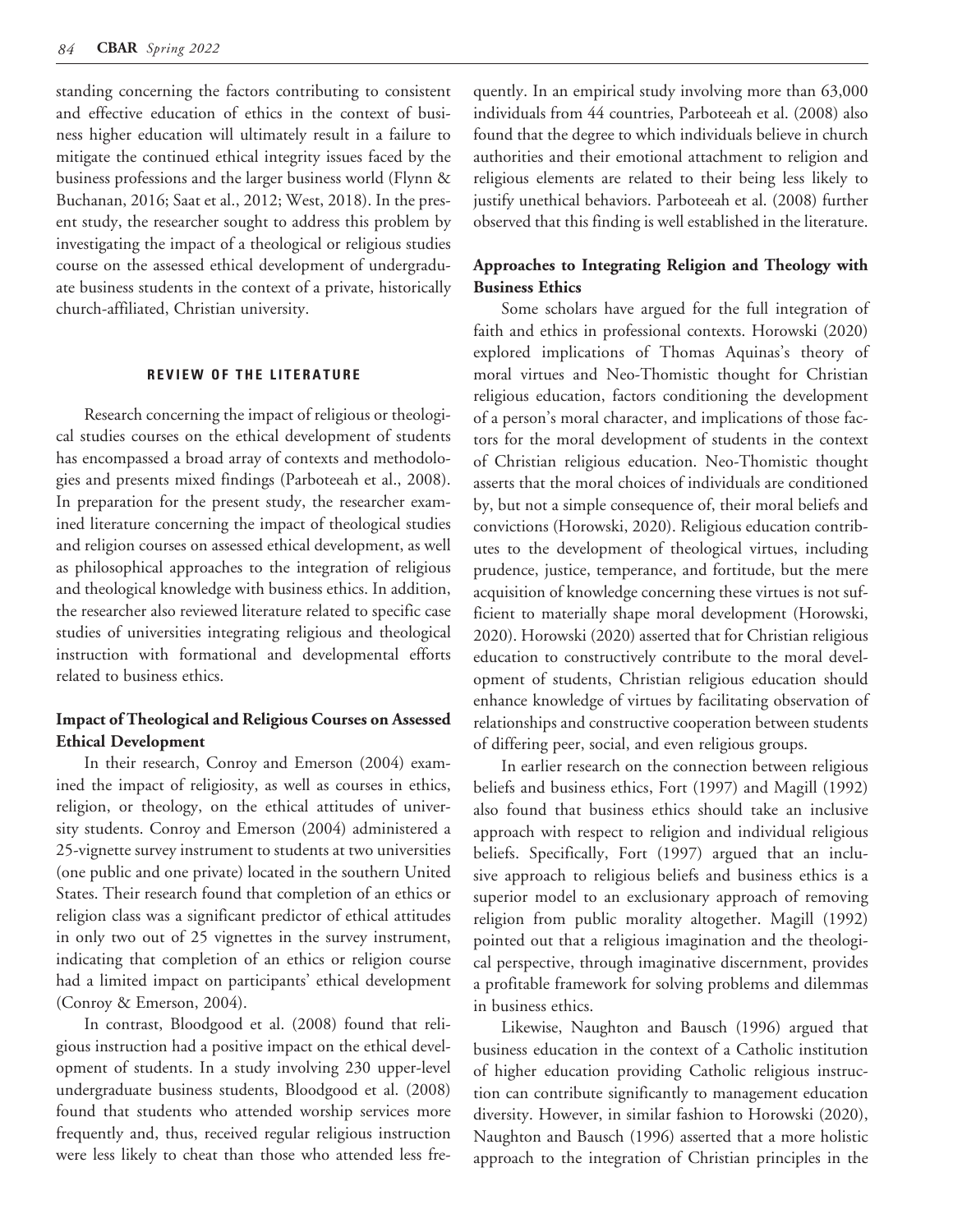standing concerning the factors contributing to consistent and effective education of ethics in the context of business higher education will ultimately result in a failure to mitigate the continued ethical integrity issues faced by the business professions and the larger business world (Flynn & Buchanan, 2016; Saat et al., 2012; West, 2018). In the present study, the researcher sought to address this problem by investigating the impact of a theological or religious studies course on the assessed ethical development of undergraduate business students in the context of a private, historically church-affiliated, Christian university.

#### **REVIEW OF THE LITERATURE**

Research concerning the impact of religious or theological studies courses on the ethical development of students has encompassed a broad array of contexts and methodologies and presents mixed findings (Parboteeah et al., 2008). In preparation for the present study, the researcher examined literature concerning the impact of theological studies and religion courses on assessed ethical development, as well as philosophical approaches to the integration of religious and theological knowledge with business ethics. In addition, the researcher also reviewed literature related to specific case studies of universities integrating religious and theological instruction with formational and developmental efforts related to business ethics.

# **Impact of Theological and Religious Courses on Assessed Ethical Development**

In their research, Conroy and Emerson (2004) examined the impact of religiosity, as well as courses in ethics, religion, or theology, on the ethical attitudes of university students. Conroy and Emerson (2004) administered a 25-vignette survey instrument to students at two universities (one public and one private) located in the southern United States. Their research found that completion of an ethics or religion class was a significant predictor of ethical attitudes in only two out of 25 vignettes in the survey instrument, indicating that completion of an ethics or religion course had a limited impact on participants' ethical development (Conroy & Emerson, 2004).

In contrast, Bloodgood et al. (2008) found that religious instruction had a positive impact on the ethical development of students. In a study involving 230 upper-level undergraduate business students, Bloodgood et al. (2008) found that students who attended worship services more frequently and, thus, received regular religious instruction were less likely to cheat than those who attended less frequently. In an empirical study involving more than 63,000 individuals from 44 countries, Parboteeah et al. (2008) also found that the degree to which individuals believe in church authorities and their emotional attachment to religion and religious elements are related to their being less likely to justify unethical behaviors. Parboteeah et al. (2008) further observed that this finding is well established in the literature.

## **Approaches to Integrating Religion and Theology with Business Ethics**

Some scholars have argued for the full integration of faith and ethics in professional contexts. Horowski (2020) explored implications of Thomas Aquinas's theory of moral virtues and Neo-Thomistic thought for Christian religious education, factors conditioning the development of a person's moral character, and implications of those factors for the moral development of students in the context of Christian religious education. Neo-Thomistic thought asserts that the moral choices of individuals are conditioned by, but not a simple consequence of, their moral beliefs and convictions (Horowski, 2020). Religious education contributes to the development of theological virtues, including prudence, justice, temperance, and fortitude, but the mere acquisition of knowledge concerning these virtues is not sufficient to materially shape moral development (Horowski, 2020). Horowski (2020) asserted that for Christian religious education to constructively contribute to the moral development of students, Christian religious education should enhance knowledge of virtues by facilitating observation of relationships and constructive cooperation between students of differing peer, social, and even religious groups.

In earlier research on the connection between religious beliefs and business ethics, Fort (1997) and Magill (1992) also found that business ethics should take an inclusive approach with respect to religion and individual religious beliefs. Specifically, Fort (1997) argued that an inclusive approach to religious beliefs and business ethics is a superior model to an exclusionary approach of removing religion from public morality altogether. Magill (1992) pointed out that a religious imagination and the theological perspective, through imaginative discernment, provides a profitable framework for solving problems and dilemmas in business ethics.

Likewise, Naughton and Bausch (1996) argued that business education in the context of a Catholic institution of higher education providing Catholic religious instruction can contribute significantly to management education diversity. However, in similar fashion to Horowski (2020), Naughton and Bausch (1996) asserted that a more holistic approach to the integration of Christian principles in the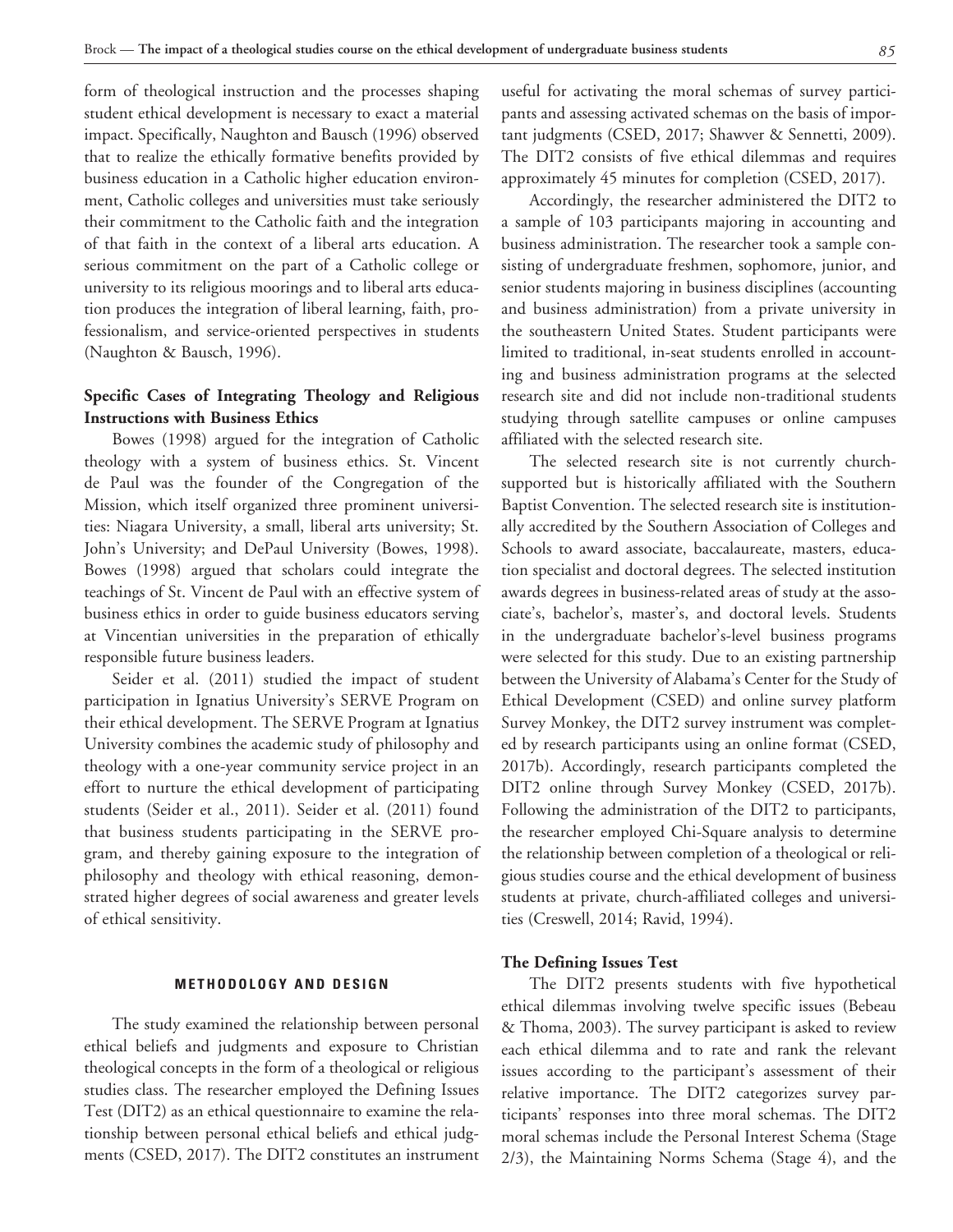form of theological instruction and the processes shaping student ethical development is necessary to exact a material impact. Specifically, Naughton and Bausch (1996) observed that to realize the ethically formative benefits provided by business education in a Catholic higher education environment, Catholic colleges and universities must take seriously their commitment to the Catholic faith and the integration of that faith in the context of a liberal arts education. A serious commitment on the part of a Catholic college or university to its religious moorings and to liberal arts education produces the integration of liberal learning, faith, professionalism, and service-oriented perspectives in students (Naughton & Bausch, 1996).

## **Specific Cases of Integrating Theology and Religious Instructions with Business Ethics**

Bowes (1998) argued for the integration of Catholic theology with a system of business ethics. St. Vincent de Paul was the founder of the Congregation of the Mission, which itself organized three prominent universities: Niagara University, a small, liberal arts university; St. John's University; and DePaul University (Bowes, 1998). Bowes (1998) argued that scholars could integrate the teachings of St. Vincent de Paul with an effective system of business ethics in order to guide business educators serving at Vincentian universities in the preparation of ethically responsible future business leaders.

Seider et al. (2011) studied the impact of student participation in Ignatius University's SERVE Program on their ethical development. The SERVE Program at Ignatius University combines the academic study of philosophy and theology with a one-year community service project in an effort to nurture the ethical development of participating students (Seider et al., 2011). Seider et al. (2011) found that business students participating in the SERVE program, and thereby gaining exposure to the integration of philosophy and theology with ethical reasoning, demonstrated higher degrees of social awareness and greater levels of ethical sensitivity.

#### **METHODOLOGY AND DESIGN**

The study examined the relationship between personal ethical beliefs and judgments and exposure to Christian theological concepts in the form of a theological or religious studies class. The researcher employed the Defining Issues Test (DIT2) as an ethical questionnaire to examine the relationship between personal ethical beliefs and ethical judgments (CSED, 2017). The DIT2 constitutes an instrument useful for activating the moral schemas of survey participants and assessing activated schemas on the basis of important judgments (CSED, 2017; Shawver & Sennetti, 2009). The DIT2 consists of five ethical dilemmas and requires approximately 45 minutes for completion (CSED, 2017).

Accordingly, the researcher administered the DIT2 to a sample of 103 participants majoring in accounting and business administration. The researcher took a sample consisting of undergraduate freshmen, sophomore, junior, and senior students majoring in business disciplines (accounting and business administration) from a private university in the southeastern United States. Student participants were limited to traditional, in-seat students enrolled in accounting and business administration programs at the selected research site and did not include non-traditional students studying through satellite campuses or online campuses affiliated with the selected research site.

The selected research site is not currently churchsupported but is historically affiliated with the Southern Baptist Convention. The selected research site is institutionally accredited by the Southern Association of Colleges and Schools to award associate, baccalaureate, masters, education specialist and doctoral degrees. The selected institution awards degrees in business-related areas of study at the associate's, bachelor's, master's, and doctoral levels. Students in the undergraduate bachelor's-level business programs were selected for this study. Due to an existing partnership between the University of Alabama's Center for the Study of Ethical Development (CSED) and online survey platform Survey Monkey, the DIT2 survey instrument was completed by research participants using an online format (CSED, 2017b). Accordingly, research participants completed the DIT2 online through Survey Monkey (CSED, 2017b). Following the administration of the DIT2 to participants, the researcher employed Chi-Square analysis to determine the relationship between completion of a theological or religious studies course and the ethical development of business students at private, church-affiliated colleges and universities (Creswell, 2014; Ravid, 1994).

#### **The Defining Issues Test**

The DIT2 presents students with five hypothetical ethical dilemmas involving twelve specific issues (Bebeau & Thoma, 2003). The survey participant is asked to review each ethical dilemma and to rate and rank the relevant issues according to the participant's assessment of their relative importance. The DIT2 categorizes survey participants' responses into three moral schemas. The DIT2 moral schemas include the Personal Interest Schema (Stage 2/3), the Maintaining Norms Schema (Stage 4), and the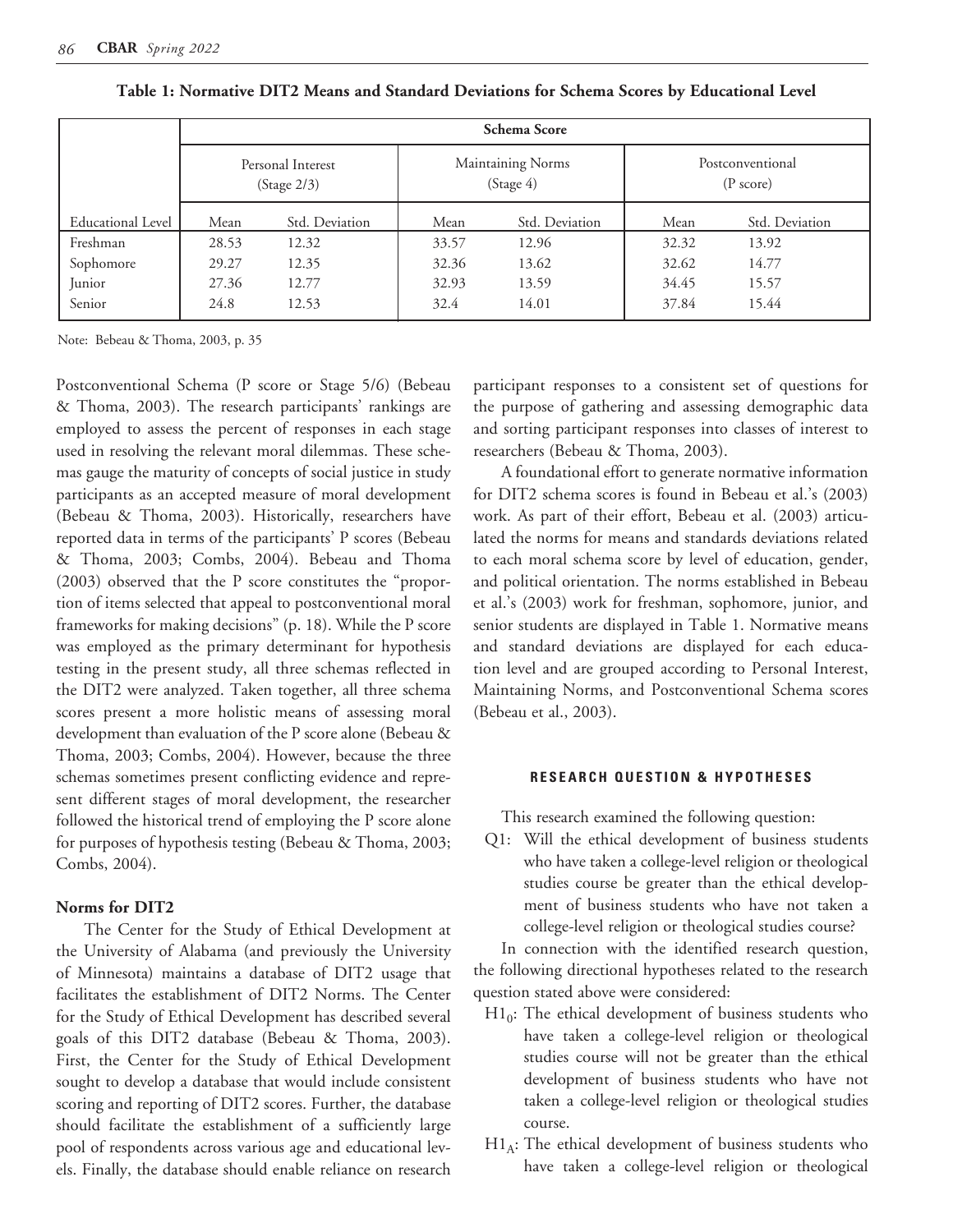|                          | <b>Schema Score</b>              |                |       |                                |                                         |                |  |  |
|--------------------------|----------------------------------|----------------|-------|--------------------------------|-----------------------------------------|----------------|--|--|
|                          | Personal Interest<br>(Stage 2/3) |                |       | Maintaining Norms<br>(Stage 4) | Postconventional<br>$(P \text{ score})$ |                |  |  |
| <b>Educational Level</b> | Mean                             | Std. Deviation | Mean  | Std. Deviation                 | Mean                                    | Std. Deviation |  |  |
| Freshman                 | 28.53                            | 12.32          | 33.57 | 12.96                          | 32.32                                   | 13.92          |  |  |
| Sophomore                | 29.27                            | 12.35          | 32.36 | 13.62                          | 32.62                                   | 14.77          |  |  |
| Junior                   | 27.36                            | 12.77          | 32.93 | 13.59                          | 34.45                                   | 15.57          |  |  |
| Senior                   | 24.8                             | 12.53          | 32.4  | 14.01                          | 37.84                                   | 15.44          |  |  |

**Table 1: Normative DIT2 Means and Standard Deviations for Schema Scores by Educational Level**

Note: Bebeau & Thoma, 2003, p. 35

Postconventional Schema (P score or Stage 5/6) (Bebeau & Thoma, 2003). The research participants' rankings are employed to assess the percent of responses in each stage used in resolving the relevant moral dilemmas. These schemas gauge the maturity of concepts of social justice in study participants as an accepted measure of moral development (Bebeau & Thoma, 2003). Historically, researchers have reported data in terms of the participants' P scores (Bebeau & Thoma, 2003; Combs, 2004). Bebeau and Thoma (2003) observed that the P score constitutes the "proportion of items selected that appeal to postconventional moral frameworks for making decisions" (p. 18). While the P score was employed as the primary determinant for hypothesis testing in the present study, all three schemas reflected in the DIT2 were analyzed. Taken together, all three schema scores present a more holistic means of assessing moral development than evaluation of the P score alone (Bebeau & Thoma, 2003; Combs, 2004). However, because the three schemas sometimes present conflicting evidence and represent different stages of moral development, the researcher followed the historical trend of employing the P score alone for purposes of hypothesis testing (Bebeau & Thoma, 2003; Combs, 2004).

## **Norms for DIT2**

The Center for the Study of Ethical Development at the University of Alabama (and previously the University of Minnesota) maintains a database of DIT2 usage that facilitates the establishment of DIT2 Norms. The Center for the Study of Ethical Development has described several goals of this DIT2 database (Bebeau & Thoma, 2003). First, the Center for the Study of Ethical Development sought to develop a database that would include consistent scoring and reporting of DIT2 scores. Further, the database should facilitate the establishment of a sufficiently large pool of respondents across various age and educational levels. Finally, the database should enable reliance on research

participant responses to a consistent set of questions for the purpose of gathering and assessing demographic data and sorting participant responses into classes of interest to researchers (Bebeau & Thoma, 2003).

A foundational effort to generate normative information for DIT2 schema scores is found in Bebeau et al.'s (2003) work. As part of their effort, Bebeau et al. (2003) articulated the norms for means and standards deviations related to each moral schema score by level of education, gender, and political orientation. The norms established in Bebeau et al.'s (2003) work for freshman, sophomore, junior, and senior students are displayed in Table 1. Normative means and standard deviations are displayed for each education level and are grouped according to Personal Interest, Maintaining Norms, and Postconventional Schema scores (Bebeau et al., 2003).

## **RESEARCH QUESTION & HYPOTHESES**

This research examined the following question:

Q1: Will the ethical development of business students who have taken a college-level religion or theological studies course be greater than the ethical development of business students who have not taken a college-level religion or theological studies course?

In connection with the identified research question, the following directional hypotheses related to the research question stated above were considered:

- $H1<sub>0</sub>$ : The ethical development of business students who have taken a college-level religion or theological studies course will not be greater than the ethical development of business students who have not taken a college-level religion or theological studies course.
- $H1_A$ : The ethical development of business students who have taken a college-level religion or theological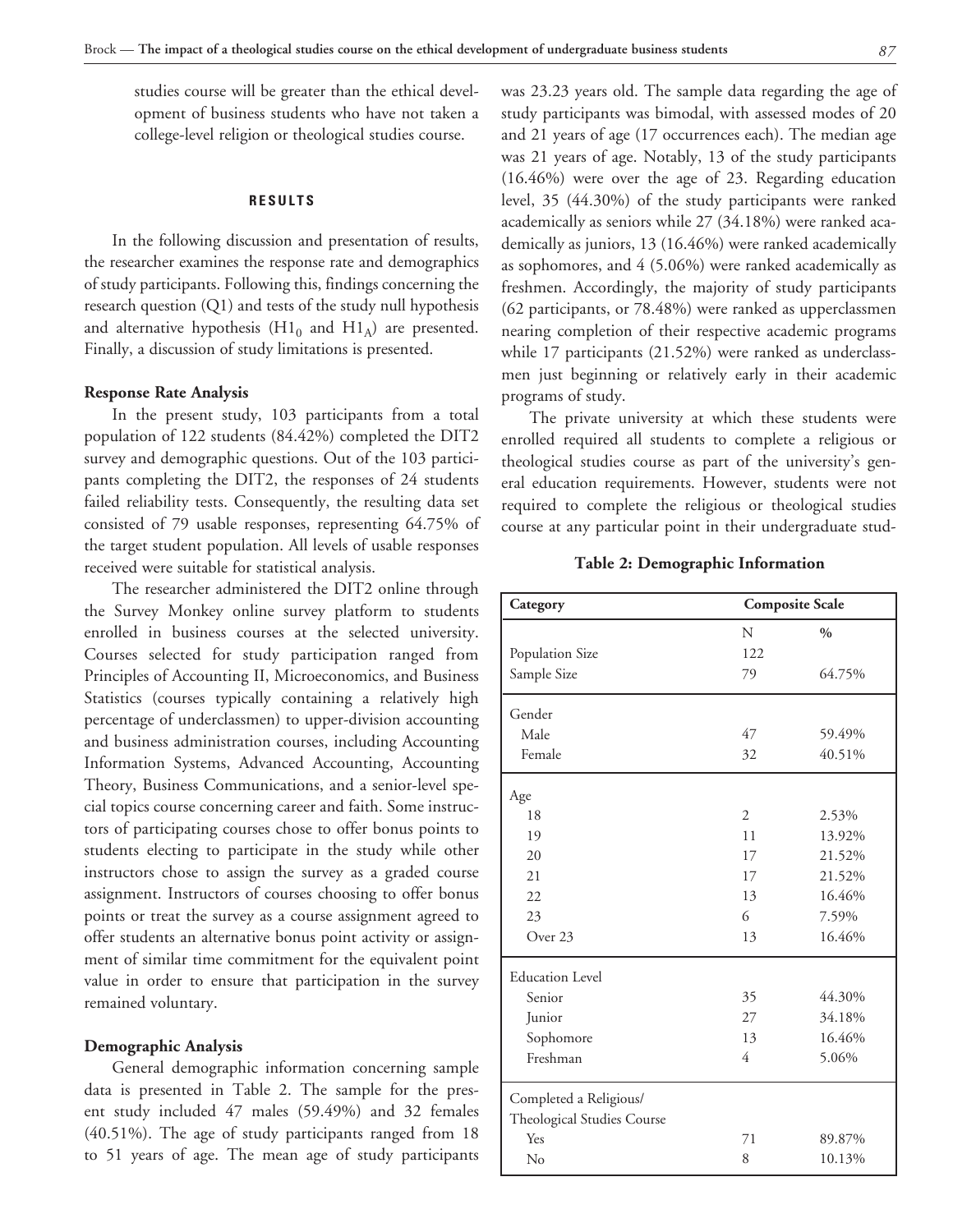studies course will be greater than the ethical development of business students who have not taken a college-level religion or theological studies course.

#### **RESULTS**

In the following discussion and presentation of results, the researcher examines the response rate and demographics of study participants. Following this, findings concerning the research question (Q1) and tests of the study null hypothesis and alternative hypothesis  $(H1_0$  and  $H1_A)$  are presented. Finally, a discussion of study limitations is presented.

#### **Response Rate Analysis**

In the present study, 103 participants from a total population of 122 students (84.42%) completed the DIT2 survey and demographic questions. Out of the 103 participants completing the DIT2, the responses of 24 students failed reliability tests. Consequently, the resulting data set consisted of 79 usable responses, representing 64.75% of the target student population. All levels of usable responses received were suitable for statistical analysis.

The researcher administered the DIT2 online through the Survey Monkey online survey platform to students enrolled in business courses at the selected university. Courses selected for study participation ranged from Principles of Accounting II, Microeconomics, and Business Statistics (courses typically containing a relatively high percentage of underclassmen) to upper-division accounting and business administration courses, including Accounting Information Systems, Advanced Accounting, Accounting Theory, Business Communications, and a senior-level special topics course concerning career and faith. Some instructors of participating courses chose to offer bonus points to students electing to participate in the study while other instructors chose to assign the survey as a graded course assignment. Instructors of courses choosing to offer bonus points or treat the survey as a course assignment agreed to offer students an alternative bonus point activity or assignment of similar time commitment for the equivalent point value in order to ensure that participation in the survey remained voluntary.

#### **Demographic Analysis**

General demographic information concerning sample data is presented in Table 2. The sample for the present study included 47 males (59.49%) and 32 females (40.51%). The age of study participants ranged from 18 to 51 years of age. The mean age of study participants was 23.23 years old. The sample data regarding the age of study participants was bimodal, with assessed modes of 20 and 21 years of age (17 occurrences each). The median age was 21 years of age. Notably, 13 of the study participants (16.46%) were over the age of 23. Regarding education level, 35 (44.30%) of the study participants were ranked academically as seniors while 27 (34.18%) were ranked academically as juniors, 13 (16.46%) were ranked academically as sophomores, and 4 (5.06%) were ranked academically as freshmen. Accordingly, the majority of study participants (62 participants, or 78.48%) were ranked as upperclassmen nearing completion of their respective academic programs while 17 participants (21.52%) were ranked as underclassmen just beginning or relatively early in their academic programs of study.

The private university at which these students were enrolled required all students to complete a religious or theological studies course as part of the university's general education requirements. However, students were not required to complete the religious or theological studies course at any particular point in their undergraduate stud-

#### **Table 2: Demographic Information**

| Category                   | <b>Composite Scale</b> |               |  |  |  |
|----------------------------|------------------------|---------------|--|--|--|
|                            | N                      | $\frac{0}{0}$ |  |  |  |
| Population Size            | 122                    |               |  |  |  |
| Sample Size                | 79                     | 64.75%        |  |  |  |
| Gender                     |                        |               |  |  |  |
| Male                       | 47                     | 59.49%        |  |  |  |
| Female                     | 32                     | 40.51%        |  |  |  |
| Age                        |                        |               |  |  |  |
| 18                         | $\overline{2}$         | 2.53%         |  |  |  |
| 19                         | 11                     | 13.92%        |  |  |  |
| 20                         | 17                     | 21.52%        |  |  |  |
| 21                         | 17                     | 21.52%        |  |  |  |
| 22                         | 13                     | 16.46%        |  |  |  |
| 23                         | 6                      | 7.59%         |  |  |  |
| Over 23                    | 13                     | 16.46%        |  |  |  |
| <b>Education Level</b>     |                        |               |  |  |  |
| Senior                     | 35                     | 44.30%        |  |  |  |
| Junior                     | 27                     | 34.18%        |  |  |  |
| Sophomore                  | 13                     | 16.46%        |  |  |  |
| Freshman                   | 4                      | 5.06%         |  |  |  |
| Completed a Religious/     |                        |               |  |  |  |
| Theological Studies Course |                        |               |  |  |  |
| Yes                        | 71                     | 89.87%        |  |  |  |
| No                         | 8                      | 10.13%        |  |  |  |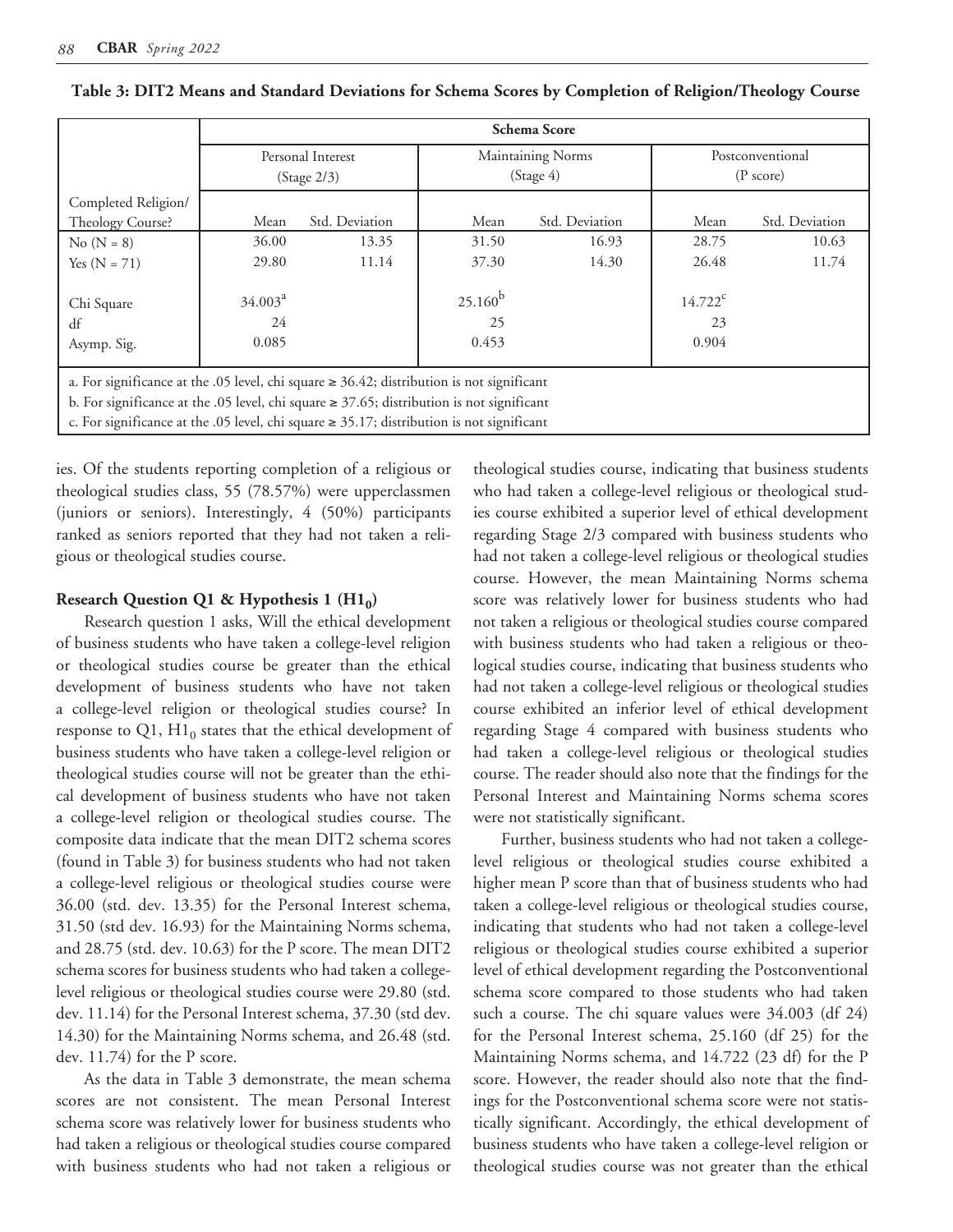|                                                                                                | Schema Score |                   |              |                   |                     |                |  |  |
|------------------------------------------------------------------------------------------------|--------------|-------------------|--------------|-------------------|---------------------|----------------|--|--|
|                                                                                                |              | Personal Interest |              | Maintaining Norms | Postconventional    |                |  |  |
|                                                                                                |              | (Stage 2/3)       |              | (Stage 4)         | $(P \text{ score})$ |                |  |  |
| Completed Religion/                                                                            |              |                   |              |                   |                     |                |  |  |
| Theology Course?                                                                               | Mean         | Std. Deviation    | Mean         | Std. Deviation    | Mean                | Std. Deviation |  |  |
| $No (N = 8)$                                                                                   | 36.00        | 13.35             | 31.50        | 16.93             | 28.75               | 10.63          |  |  |
| Yes $(N = 71)$                                                                                 | 29.80        | 11.14             | 37.30        | 14.30             | 26.48               | 11.74          |  |  |
|                                                                                                |              |                   |              |                   |                     |                |  |  |
| Chi Square                                                                                     | $34.003^a$   |                   | $25.160^{b}$ |                   | $14.722^c$          |                |  |  |
| df                                                                                             | 24           |                   | 25           |                   | 23                  |                |  |  |
| Asymp. Sig.                                                                                    | 0.085        |                   | 0.453        |                   | 0.904               |                |  |  |
|                                                                                                |              |                   |              |                   |                     |                |  |  |
| a. For significance at the .05 level, chi square $\geq$ 36.42; distribution is not significant |              |                   |              |                   |                     |                |  |  |
| b. For significance at the .05 level, chi square $\geq$ 37.65; distribution is not significant |              |                   |              |                   |                     |                |  |  |
| c. For significance at the .05 level, chi square $\ge$ 35.17; distribution is not significant  |              |                   |              |                   |                     |                |  |  |

| Table 3: DIT2 Means and Standard Deviations for Schema Scores by Completion of Religion/Theology Course |  |  |  |  |  |
|---------------------------------------------------------------------------------------------------------|--|--|--|--|--|
|                                                                                                         |  |  |  |  |  |

ies. Of the students reporting completion of a religious or theological studies class, 55 (78.57%) were upperclassmen (juniors or seniors). Interestingly, 4 (50%) participants ranked as seniors reported that they had not taken a religious or theological studies course.

### **Research Question Q1 & Hypothesis 1 (H10)**

Research question 1 asks, Will the ethical development of business students who have taken a college-level religion or theological studies course be greater than the ethical development of business students who have not taken a college-level religion or theological studies course? In response to Q1,  $H1_0$  states that the ethical development of business students who have taken a college-level religion or theological studies course will not be greater than the ethical development of business students who have not taken a college-level religion or theological studies course. The composite data indicate that the mean DIT2 schema scores (found in Table 3) for business students who had not taken a college-level religious or theological studies course were 36.00 (std. dev. 13.35) for the Personal Interest schema, 31.50 (std dev. 16.93) for the Maintaining Norms schema, and 28.75 (std. dev. 10.63) for the P score. The mean DIT2 schema scores for business students who had taken a collegelevel religious or theological studies course were 29.80 (std. dev. 11.14) for the Personal Interest schema, 37.30 (std dev. 14.30) for the Maintaining Norms schema, and 26.48 (std. dev. 11.74) for the P score.

As the data in Table 3 demonstrate, the mean schema scores are not consistent. The mean Personal Interest schema score was relatively lower for business students who had taken a religious or theological studies course compared with business students who had not taken a religious or

theological studies course, indicating that business students who had taken a college-level religious or theological studies course exhibited a superior level of ethical development regarding Stage 2/3 compared with business students who had not taken a college-level religious or theological studies course. However, the mean Maintaining Norms schema score was relatively lower for business students who had not taken a religious or theological studies course compared with business students who had taken a religious or theological studies course, indicating that business students who had not taken a college-level religious or theological studies course exhibited an inferior level of ethical development regarding Stage 4 compared with business students who had taken a college-level religious or theological studies course. The reader should also note that the findings for the Personal Interest and Maintaining Norms schema scores were not statistically significant.

Further, business students who had not taken a collegelevel religious or theological studies course exhibited a higher mean P score than that of business students who had taken a college-level religious or theological studies course, indicating that students who had not taken a college-level religious or theological studies course exhibited a superior level of ethical development regarding the Postconventional schema score compared to those students who had taken such a course. The chi square values were 34.003 (df 24) for the Personal Interest schema, 25.160 (df 25) for the Maintaining Norms schema, and 14.722 (23 df) for the P score. However, the reader should also note that the findings for the Postconventional schema score were not statistically significant. Accordingly, the ethical development of business students who have taken a college-level religion or theological studies course was not greater than the ethical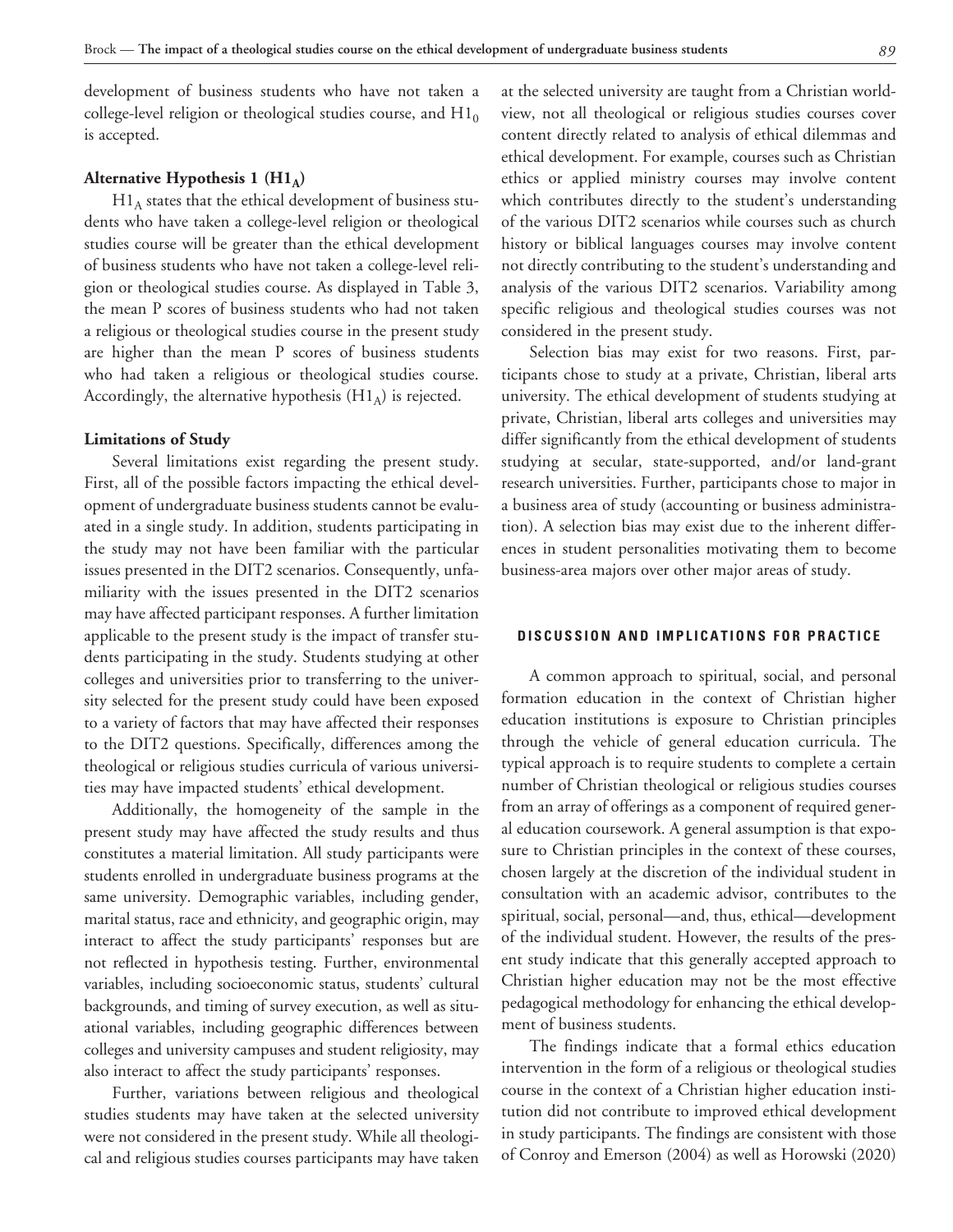development of business students who have not taken a college-level religion or theological studies course, and  $H1_0$ is accepted.

## Alternative Hypothesis 1 (H1<sub>A</sub>)

 $H1_A$  states that the ethical development of business students who have taken a college-level religion or theological studies course will be greater than the ethical development of business students who have not taken a college-level religion or theological studies course. As displayed in Table 3, the mean P scores of business students who had not taken a religious or theological studies course in the present study are higher than the mean P scores of business students who had taken a religious or theological studies course. Accordingly, the alternative hypothesis  $(H1_A)$  is rejected.

#### **Limitations of Study**

Several limitations exist regarding the present study. First, all of the possible factors impacting the ethical development of undergraduate business students cannot be evaluated in a single study. In addition, students participating in the study may not have been familiar with the particular issues presented in the DIT2 scenarios. Consequently, unfamiliarity with the issues presented in the DIT2 scenarios may have affected participant responses. A further limitation applicable to the present study is the impact of transfer students participating in the study. Students studying at other colleges and universities prior to transferring to the university selected for the present study could have been exposed to a variety of factors that may have affected their responses to the DIT2 questions. Specifically, differences among the theological or religious studies curricula of various universities may have impacted students' ethical development.

Additionally, the homogeneity of the sample in the present study may have affected the study results and thus constitutes a material limitation. All study participants were students enrolled in undergraduate business programs at the same university. Demographic variables, including gender, marital status, race and ethnicity, and geographic origin, may interact to affect the study participants' responses but are not reflected in hypothesis testing. Further, environmental variables, including socioeconomic status, students' cultural backgrounds, and timing of survey execution, as well as situational variables, including geographic differences between colleges and university campuses and student religiosity, may also interact to affect the study participants' responses.

Further, variations between religious and theological studies students may have taken at the selected university were not considered in the present study. While all theological and religious studies courses participants may have taken

at the selected university are taught from a Christian worldview, not all theological or religious studies courses cover content directly related to analysis of ethical dilemmas and ethical development. For example, courses such as Christian ethics or applied ministry courses may involve content which contributes directly to the student's understanding of the various DIT2 scenarios while courses such as church history or biblical languages courses may involve content not directly contributing to the student's understanding and analysis of the various DIT2 scenarios. Variability among specific religious and theological studies courses was not considered in the present study.

Selection bias may exist for two reasons. First, participants chose to study at a private, Christian, liberal arts university. The ethical development of students studying at private, Christian, liberal arts colleges and universities may differ significantly from the ethical development of students studying at secular, state-supported, and/or land-grant research universities. Further, participants chose to major in a business area of study (accounting or business administration). A selection bias may exist due to the inherent differences in student personalities motivating them to become business-area majors over other major areas of study.

## **DISCUSSION AND IMPLICATIONS FOR PRACTICE**

A common approach to spiritual, social, and personal formation education in the context of Christian higher education institutions is exposure to Christian principles through the vehicle of general education curricula. The typical approach is to require students to complete a certain number of Christian theological or religious studies courses from an array of offerings as a component of required general education coursework. A general assumption is that exposure to Christian principles in the context of these courses, chosen largely at the discretion of the individual student in consultation with an academic advisor, contributes to the spiritual, social, personal—and, thus, ethical—development of the individual student. However, the results of the present study indicate that this generally accepted approach to Christian higher education may not be the most effective pedagogical methodology for enhancing the ethical development of business students.

The findings indicate that a formal ethics education intervention in the form of a religious or theological studies course in the context of a Christian higher education institution did not contribute to improved ethical development in study participants. The findings are consistent with those of Conroy and Emerson (2004) as well as Horowski (2020)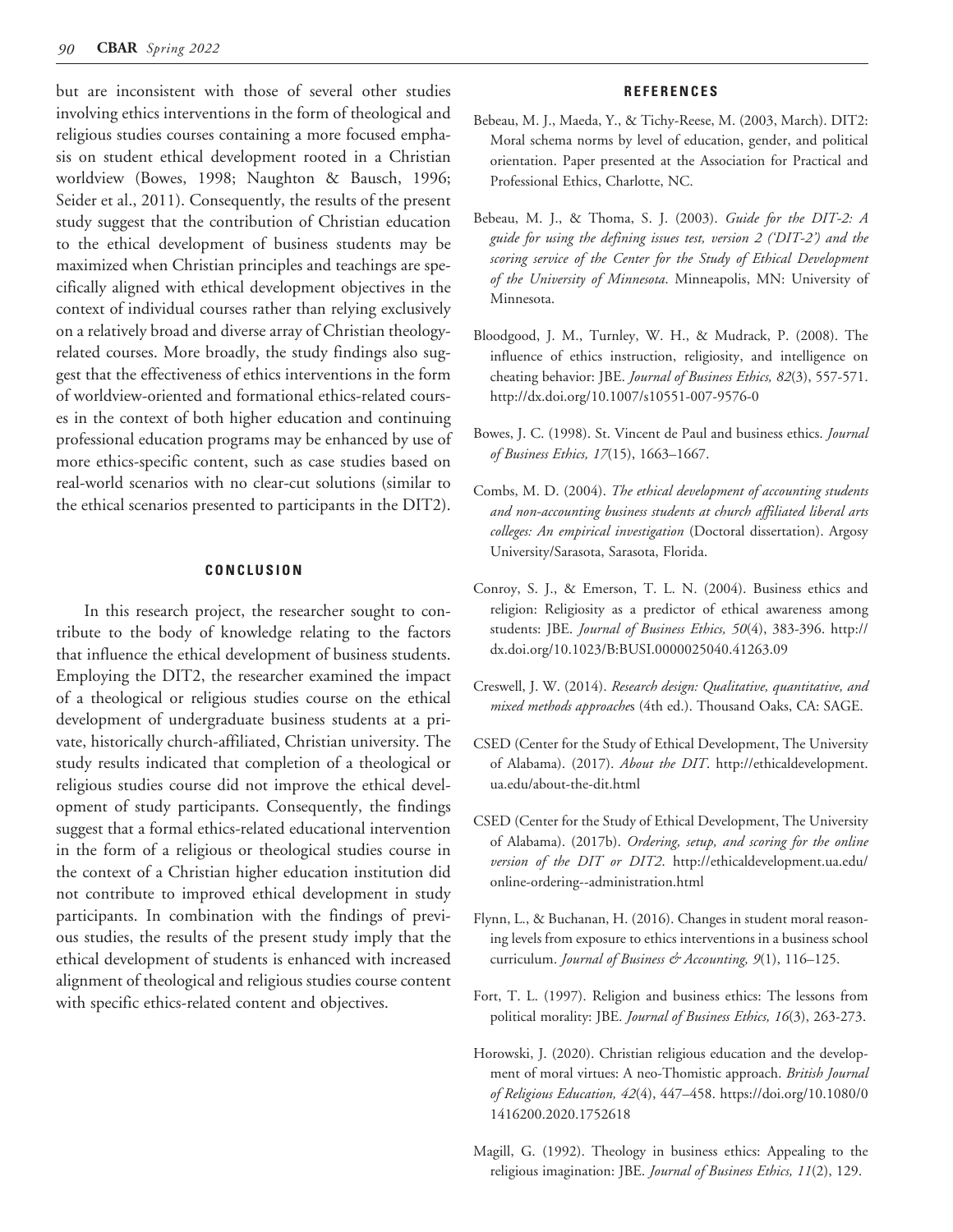but are inconsistent with those of several other studies involving ethics interventions in the form of theological and religious studies courses containing a more focused emphasis on student ethical development rooted in a Christian worldview (Bowes, 1998; Naughton & Bausch, 1996; Seider et al., 2011). Consequently, the results of the present study suggest that the contribution of Christian education to the ethical development of business students may be maximized when Christian principles and teachings are specifically aligned with ethical development objectives in the context of individual courses rather than relying exclusively on a relatively broad and diverse array of Christian theologyrelated courses. More broadly, the study findings also suggest that the effectiveness of ethics interventions in the form of worldview-oriented and formational ethics-related courses in the context of both higher education and continuing professional education programs may be enhanced by use of more ethics-specific content, such as case studies based on real-world scenarios with no clear-cut solutions (similar to the ethical scenarios presented to participants in the DIT2).

#### **CONCLUSION**

In this research project, the researcher sought to contribute to the body of knowledge relating to the factors that influence the ethical development of business students. Employing the DIT2, the researcher examined the impact of a theological or religious studies course on the ethical development of undergraduate business students at a private, historically church-affiliated, Christian university. The study results indicated that completion of a theological or religious studies course did not improve the ethical development of study participants. Consequently, the findings suggest that a formal ethics-related educational intervention in the form of a religious or theological studies course in the context of a Christian higher education institution did not contribute to improved ethical development in study participants. In combination with the findings of previous studies, the results of the present study imply that the ethical development of students is enhanced with increased alignment of theological and religious studies course content with specific ethics-related content and objectives.

#### **REFERENCES**

- Bebeau, M. J., Maeda, Y., & Tichy-Reese, M. (2003, March). DIT2: Moral schema norms by level of education, gender, and political orientation. Paper presented at the Association for Practical and Professional Ethics, Charlotte, NC.
- Bebeau, M. J., & Thoma, S. J. (2003). *Guide for the DIT-2: A guide for using the defining issues test, version 2 ('DIT-2') and the scoring service of the Center for the Study of Ethical Development of the University of Minnesota*. Minneapolis, MN: University of Minnesota.
- Bloodgood, J. M., Turnley, W. H., & Mudrack, P. (2008). The influence of ethics instruction, religiosity, and intelligence on cheating behavior: JBE. *Journal of Business Ethics, 82*(3), 557-571. http://dx.doi.org/10.1007/s10551-007-9576-0
- Bowes, J. C. (1998). St. Vincent de Paul and business ethics. *Journal of Business Ethics, 17*(15), 1663–1667.
- Combs, M. D. (2004). *The ethical development of accounting students and non-accounting business students at church affiliated liberal arts colleges: An empirical investigation* (Doctoral dissertation). Argosy University/Sarasota, Sarasota, Florida.
- Conroy, S. J., & Emerson, T. L. N. (2004). Business ethics and religion: Religiosity as a predictor of ethical awareness among students: JBE. *Journal of Business Ethics, 50*(4), 383-396. http:// dx.doi.org/10.1023/B:BUSI.0000025040.41263.09
- Creswell, J. W. (2014). *Research design: Qualitative, quantitative, and mixed methods approache*s (4th ed.). Thousand Oaks, CA: SAGE.
- CSED (Center for the Study of Ethical Development, The University of Alabama). (2017). *About the DIT*. http://ethicaldevelopment. ua.edu/about-the-dit.html
- CSED (Center for the Study of Ethical Development, The University of Alabama). (2017b). *Ordering, setup, and scoring for the online version of the DIT or DIT2*. http://ethicaldevelopment.ua.edu/ online-ordering--administration.html
- Flynn, L., & Buchanan, H. (2016). Changes in student moral reasoning levels from exposure to ethics interventions in a business school curriculum. *Journal of Business & Accounting, 9*(1), 116–125.
- Fort, T. L. (1997). Religion and business ethics: The lessons from political morality: JBE. *Journal of Business Ethics, 16*(3), 263-273.
- Horowski, J. (2020). Christian religious education and the development of moral virtues: A neo-Thomistic approach. *British Journal of Religious Education, 42*(4), 447–458. https://doi.org/10.1080/0 1416200.2020.1752618
- Magill, G. (1992). Theology in business ethics: Appealing to the religious imagination: JBE. *Journal of Business Ethics, 11*(2), 129.